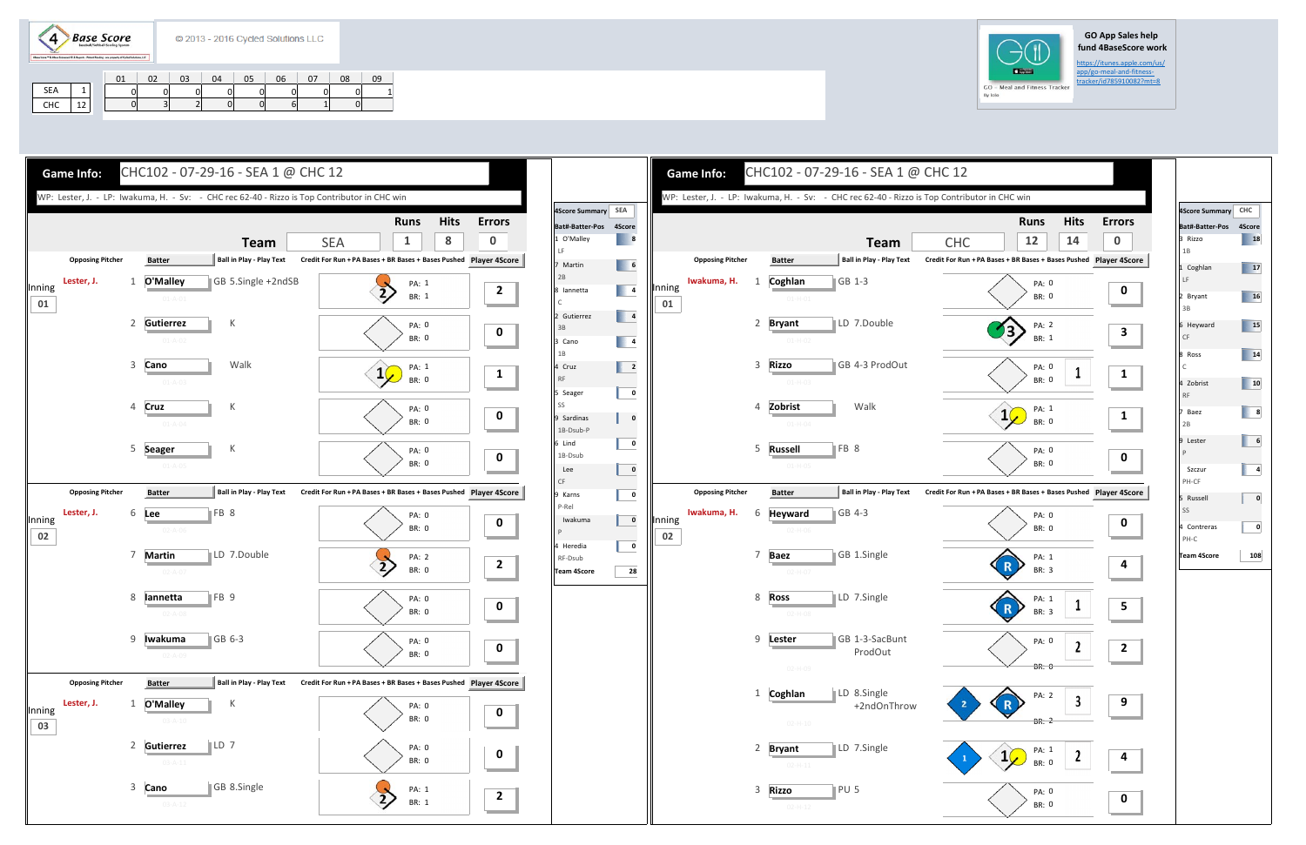$\langle 4 \rangle$ **Base Score** 

## **GO App Sales help fund 4BaseScore work**

https://itunes.apple.com/us/<br>app/go-meal-and-fitness-

| <b>Game Info:</b>          |                                                | CHC102 - 07-29-16 - SEA 1 @ CHC 12                                                           |                                                                   |                                   |                                                                                                                                                                                                                           | <b>Game Info:</b>           | CHC102 - 07-29-16 - SEA 1 @ CHC 12                                                           |                                                                             |
|----------------------------|------------------------------------------------|----------------------------------------------------------------------------------------------|-------------------------------------------------------------------|-----------------------------------|---------------------------------------------------------------------------------------------------------------------------------------------------------------------------------------------------------------------------|-----------------------------|----------------------------------------------------------------------------------------------|-----------------------------------------------------------------------------|
|                            |                                                | WP: Lester, J. - LP: Iwakuma, H. - Sv: - CHC rec 62-40 - Rizzo is Top Contributor in CHC win |                                                                   |                                   |                                                                                                                                                                                                                           |                             | WP: Lester, J. - LP: Iwakuma, H. - Sv: - CHC rec 62-40 - Rizzo is Top Contributor in CHC win |                                                                             |
|                            |                                                | <b>Team</b>                                                                                  | <b>Hits</b><br><b>Runs</b><br>8<br><b>SEA</b><br>$\mathbf{1}$     | <b>Errors</b><br>$\boldsymbol{0}$ | 4Score Summary SEA<br>Bat#-Batter-Pos 4Score<br>1 O'Malley<br>$\begin{array}{ c c c } \hline \end{array}$ 8                                                                                                               |                             | <b>Team</b>                                                                                  | <b>Hits</b><br>Erro<br><b>Runs</b><br>$\mathbf 0$<br>12<br>14<br><b>CHC</b> |
| <b>Opposing Pitcher</b>    | <b>Batter</b>                                  | <b>Ball in Play - Play Text</b>                                                              | Credit For Run + PA Bases + BR Bases + Bases Pushed Player 4Score |                                   | LF.<br>$\begin{array}{ c c c c c }\n\hline\n6 & 6 \\ \hline\n\end{array}$<br>7 Martin                                                                                                                                     | <b>Opposing Pitcher</b>     | Ball in Play - Play Text<br><b>Batter</b>                                                    | Credit For Run + PA Bases + BR Bases + Bases Pushed Player 49               |
| Lester, J.<br>Inning<br>01 | 1 O'Malley<br>$01 - A - 01$                    | GB 5.Single +2ndSB                                                                           | PA: 1<br>BR: 1                                                    | $\overline{2}$                    | 2B<br>$\begin{array}{ c c c }\n\hline\n\hline\n\end{array}$<br>8 Iannetta                                                                                                                                                 | Iwakuma, H.<br>Inning<br>01 | Coghlan<br>GB 1-3<br>$01 - H - 01$                                                           | PA: 0<br>BR: 0                                                              |
|                            | 2 Gutierrez<br>$01 - A - 02$                   | К                                                                                            | <b>PA: 0</b><br>BR: 0                                             | $\mathbf{0}$                      | $\begin{array}{ c c c }\n\hline\n\multicolumn{1}{ c }{4} & \multicolumn{1}{ c }{4}\n\end{array}$<br>2 Gutierrez<br>3B<br>$\begin{array}{ c c c }\n\hline\n\multicolumn{1}{ c }{4} \\ \hline\n\end{array}$<br>3 Cano<br>1B |                             | 2 Bryant<br>LD 7.Double<br>$01 - H - 02$                                                     | PA: 2<br>$\left\langle \frac{3}{2} \right\rangle$<br>BR: 1                  |
|                            | 3 Cano<br>$01 - A - 03$                        | Walk                                                                                         | PA: 1<br><b>BR: 0</b>                                             | $\mathbf{1}$                      | 4 Cruz<br><b>RF</b><br>$\overline{\mathbf{0}}$<br>5 Seager                                                                                                                                                                |                             | 3 Rizzo<br>GB 4-3 ProdOut<br>$01 - H - 03$                                                   | PA: 0<br><b>BR: 0</b>                                                       |
|                            | <b>Cruz</b><br>$\overline{4}$<br>$01 - A - 04$ | К                                                                                            | <b>PA: 0</b><br><b>BR: 0</b>                                      | $\mathbf 0$                       | SS<br>$\pmb{0}$<br>9 Sardinas<br>1B-Dsub-P                                                                                                                                                                                |                             | Walk<br>4 Zobrist<br>$01 - H - 04$                                                           | PA: 1<br>$1\sqrt{ }$<br>BR: 0                                               |
|                            | 5 Seager<br>$01 - A - 05$                      | К                                                                                            | <b>PA: 0</b><br><b>BR: 0</b>                                      | $\mathbf 0$                       | 6 Lind<br>$\overline{\mathbf{0}}$<br>1B-Dsub<br>$\mathbf 0$<br>Lee<br>CF                                                                                                                                                  |                             | $\parallel$ FB 8<br>5 Russell<br>$01 - H - 05$                                               | PA: 0<br>BR: 0                                                              |
| <b>Opposing Pitcher</b>    | <b>Batter</b>                                  | Ball in Play - Play Text                                                                     | Credit For Run + PA Bases + BR Bases + Bases Pushed Player 4Score |                                   | 9 Karns<br>$\overline{\mathbf{0}}$                                                                                                                                                                                        | <b>Opposing Pitcher</b>     | Ball in Play - Play Text<br><b>Batter</b>                                                    | Credit For Run + PA Bases + BR Bases + Bases Pushed Player 49               |
| Lester, J.<br>Inning<br>02 | 6 Lee<br>$02 - A - 06$                         | FB 8                                                                                         | <b>PA: 0</b><br><b>BR: 0</b>                                      | $\mathbf 0$                       | P-Rel<br>$\overline{\mathbf{0}}$<br>Iwakuma                                                                                                                                                                               | Iwakuma, H.<br>Inning<br>02 | GB 4-3<br>Heyward<br>6<br>$02-H-06$                                                          | PA: 0<br>BR: 0                                                              |
|                            | 7<br><b>Martin</b><br>$02 - A - 07$            | LD 7.Double                                                                                  | PA: 2<br>$\overline{2}$<br>BR: 0                                  | $\overline{2}$                    | $\bf{0}$<br>4 Heredia<br>RF-Dsub<br>28<br><b>Team 4Score</b>                                                                                                                                                              |                             | <b>Baez</b><br>GB 1.Single<br>$02-H-07$                                                      | PA: 1<br>R <sub>2</sub><br>BR: 3                                            |
|                            | 8 lannetta<br>$02 - A - 08$                    | FB 9                                                                                         | <b>PA: 0</b><br><b>BR: 0</b>                                      | $\mathbf 0$                       |                                                                                                                                                                                                                           |                             | 8 Ross<br>LD 7.Single<br>$02 - H - 08$                                                       | PA: 1<br>R)<br>BR: 3                                                        |
|                            | 9 <b>Iwakuma</b><br>$02 - A - 09$              | GB 6-3                                                                                       | PA: 0<br>BR: 0                                                    | $\mathbf 0$                       |                                                                                                                                                                                                                           |                             | 9 Lester<br>GB 1-3-SacBunt<br>ProdOut<br>02-H-09                                             | PA: 0<br>$\mathbf{2}$<br>$\overline{\mathbf{c}}$<br><b>BR: 0</b>            |
| <b>Opposing Pitcher</b>    | <b>Batter</b>                                  | Ball in Play - Play Text                                                                     | Credit For Run + PA Bases + BR Bases + Bases Pushed Player 4Score |                                   |                                                                                                                                                                                                                           |                             | LD 8.Single                                                                                  |                                                                             |
| Lester, J.<br>Inning<br>03 | O'Malley<br>1<br>$03 - A - 10$                 | К                                                                                            | PA: 0<br>BR: 0                                                    | $\mathbf 0$                       |                                                                                                                                                                                                                           |                             | 1 Coghlan<br>+2ndOnThrow<br>$02 - H - 10$                                                    | PA: 2<br>9<br>R <sup>&gt;</sup><br>BR: 2                                    |
|                            | 2 Gutierrez<br>$03 - A - 11$                   | $\parallel$ LD 7                                                                             | PA: 0<br>BR: 0                                                    | $\mathbf{0}$                      |                                                                                                                                                                                                                           |                             | LD 7.Single<br>2 Bryant<br>$02 - H - 11$                                                     | PA: 1<br>$1\sqrt{ }$<br>BR: 0                                               |
|                            | 3 Cano<br>$03 - A - 12$                        | GB 8.Single                                                                                  | PA: 1<br>$\overline{2}$<br>BR: 1                                  | $\mathbf{2}$                      |                                                                                                                                                                                                                           |                             | PU <sub>5</sub><br>3 Rizzo<br>$02 - H - 12$                                                  | PA: 0<br>O<br>BR: 0                                                         |



|     |                                                                                       | 01 |    | 02 | 03 | 04 | 05 | 06 | 07 | 08 | 09 |
|-----|---------------------------------------------------------------------------------------|----|----|----|----|----|----|----|----|----|----|
| SEA |                                                                                       |    |    |    |    |    |    |    |    |    |    |
| CHC | 12<br>the contract of the contract of the contract of the contract of the contract of |    | ΩL |    |    |    | OΙ |    |    |    |    |



| 4Score Summary CHC<br>Bat#-Batter-Pos<br>3 Rizzo<br>1B<br>1 Coghlan<br>LF<br>2 Bryant<br>3B<br>6 Heyward<br>CF<br>8 Ross<br>$\mathsf{C}$<br>4 Zobrist<br><b>RF</b><br>7 Baez<br>2B<br>9 Lester<br>$\mathsf{P}$<br>Szczur<br>PH-CF<br>5 Russell<br>SS<br>4 Contreras<br>PH-C | 4Score<br>18<br>ĸ<br>17<br>16<br>15<br>14<br>10<br>8<br>6<br>4 |
|-----------------------------------------------------------------------------------------------------------------------------------------------------------------------------------------------------------------------------------------------------------------------------|----------------------------------------------------------------|
|                                                                                                                                                                                                                                                                             |                                                                |
|                                                                                                                                                                                                                                                                             |                                                                |
|                                                                                                                                                                                                                                                                             |                                                                |
|                                                                                                                                                                                                                                                                             |                                                                |
|                                                                                                                                                                                                                                                                             |                                                                |
|                                                                                                                                                                                                                                                                             |                                                                |
|                                                                                                                                                                                                                                                                             |                                                                |
|                                                                                                                                                                                                                                                                             |                                                                |
|                                                                                                                                                                                                                                                                             |                                                                |
|                                                                                                                                                                                                                                                                             |                                                                |
|                                                                                                                                                                                                                                                                             |                                                                |
|                                                                                                                                                                                                                                                                             | 0                                                              |
|                                                                                                                                                                                                                                                                             | 0                                                              |
| <b>Team 4Score</b>                                                                                                                                                                                                                                                          | 108                                                            |
|                                                                                                                                                                                                                                                                             |                                                                |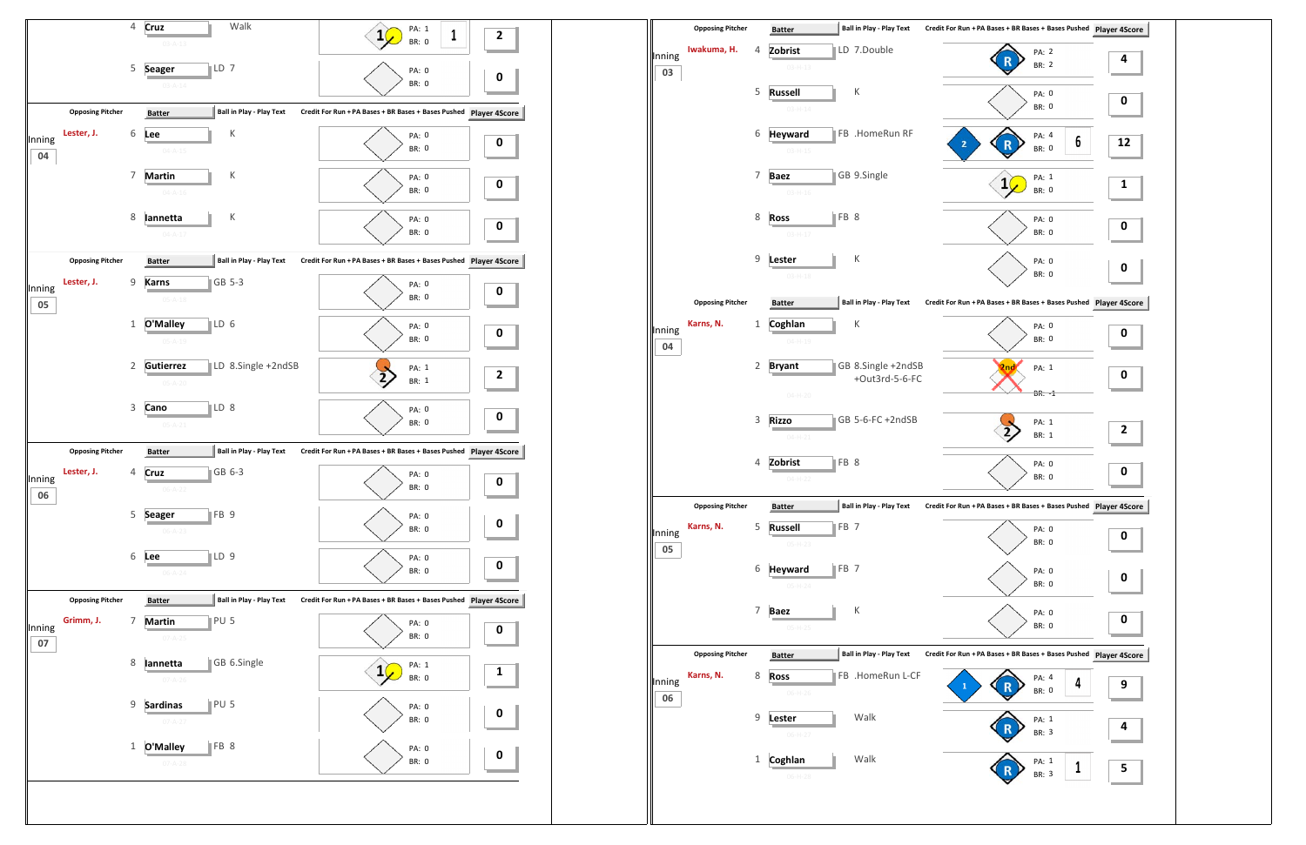

| Inning<br>03 | Iwakuma, H.             | 4            | Zobrist<br>$03 - H - 13$        |                 | LD 7.Double                          | PA: 2<br><b>BR: 2</b>                                          | 4                |
|--------------|-------------------------|--------------|---------------------------------|-----------------|--------------------------------------|----------------------------------------------------------------|------------------|
|              |                         | 5            | <b>Russell</b><br>$03 - H - 14$ |                 | К                                    | PA: 0<br><b>BR: 0</b>                                          | $\bf{0}$         |
|              |                         | 6            | <b>Heyward</b><br>$03 - H - 15$ |                 | FB .HomeRun RF                       | PA: 4<br>6<br>$\overline{\mathbf{2}}$<br><b>BR: 0</b>          | 12               |
|              |                         | 7            | <b>Baez</b><br>$03 - H - 16$    |                 | GB 9.Single                          | PA: 1<br>$\mathbf{1}$<br><b>BR: 0</b>                          | $\mathbf{1}$     |
|              |                         | 8            | <b>Ross</b><br>$03 - H - 17$    | FB 8            |                                      | PA: 0<br>BR: 0                                                 | $\bf{0}$         |
|              |                         | 9            | Lester<br>$03 - H - 18$         |                 | К                                    | PA: 0<br>BR: 0                                                 | $\bf{0}$         |
|              | <b>Opposing Pitcher</b> |              | <b>Batter</b>                   |                 | <b>Ball in Play - Play Text</b>      | Credit For Run + PA Bases + BR Bases + Bases Pushed Player 4So |                  |
| Inning<br>04 | Karns, N.               | $\mathbf{1}$ | Coghlan<br>$04 - H - 19$        |                 | К                                    | PA: 0<br>BR: 0                                                 | $\boldsymbol{0}$ |
|              |                         | 2            | <b>Bryant</b>                   |                 | GB 8.Single +2ndSB<br>+Out3rd-5-6-FC | PA: 1<br>2ng                                                   | $\mathbf 0$      |
|              |                         |              | $04 - H - 20$                   |                 |                                      | $BR: -1$                                                       |                  |
|              |                         | 3            | <b>Rizzo</b><br>$04 - H - 21$   |                 | GB 5-6-FC +2ndSB                     | PA: 1<br><b>BR: 1</b>                                          | $\mathbf{2}$     |
|              |                         | 4            | Zobrist<br>$04-H-22$            | FB 8            |                                      | PA: 0<br><b>BR: 0</b>                                          | $\bf{0}$         |
|              | <b>Opposing Pitcher</b> |              | <b>Batter</b>                   |                 | <b>Ball in Play - Play Text</b>      | Credit For Run + PA Bases + BR Bases + Bases Pushed Player 4So |                  |
| Inning<br>05 | Karns, N.               | 5            | <b>Russell</b><br>$05-H-23$     | FB <sub>7</sub> |                                      | PA: 0<br>BR: 0                                                 | $\mathbf 0$      |
|              |                         | 6            | <b>Heyward</b><br>$05-H-24$     | FB <sub>7</sub> |                                      | PA: 0<br>BR: 0                                                 | $\bf{0}$         |
|              |                         | 7            | <b>Baez</b><br>$05 - H - 25$    |                 | К                                    | PA: 0<br>BR: 0                                                 | $\bf{0}$         |
|              | <b>Opposing Pitcher</b> |              | <b>Batter</b>                   |                 | <b>Ball in Play - Play Text</b>      | Credit For Run + PA Bases + BR Bases + Bases Pushed Player 4So |                  |
| Inning<br>06 | Karns, N.               | 8            | Ross<br>$06-H-26$               |                 | FB .HomeRun L-CF                     | PA: 4<br>4<br>$\mathbf{1}$<br>BR: 0                            | 9                |
|              |                         | 9            | Lester<br>06-H-27               |                 | Walk                                 | PA: 1<br>BR: 3                                                 | 4                |
|              |                         |              |                                 |                 |                                      |                                                                |                  |